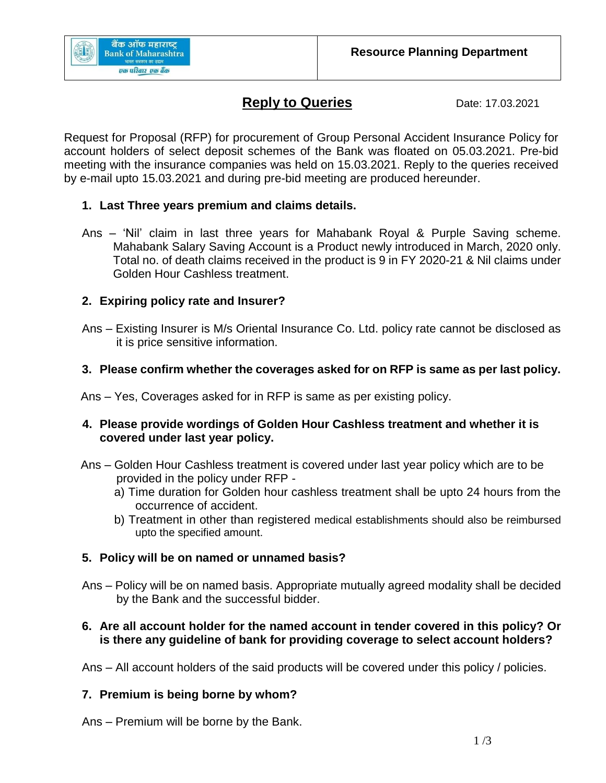

# **Reply to Queries** Date: 17.03.2021

Request for Proposal (RFP) for procurement of Group Personal Accident Insurance Policy for account holders of select deposit schemes of the Bank was floated on 05.03.2021. Pre-bid meeting with the insurance companies was held on 15.03.2021. Reply to the queries received by e-mail upto 15.03.2021 and during pre-bid meeting are produced hereunder.

# **1. Last Three years premium and claims details.**

Ans – 'Nil' claim in last three years for Mahabank Royal & Purple Saving scheme. Mahabank Salary Saving Account is a Product newly introduced in March, 2020 only. Total no. of death claims received in the product is 9 in FY 2020-21 & Nil claims under Golden Hour Cashless treatment.

# **2. Expiring policy rate and Insurer?**

Ans – Existing Insurer is M/s Oriental Insurance Co. Ltd. policy rate cannot be disclosed as it is price sensitive information.

# **3. Please confirm whether the coverages asked for on RFP is same as per last policy.**

Ans – Yes, Coverages asked for in RFP is same as per existing policy.

### **4. Please provide wordings of Golden Hour Cashless treatment and whether it is covered under last year policy.**

- Ans Golden Hour Cashless treatment is covered under last year policy which are to be provided in the policy under RFP
	- a) Time duration for Golden hour cashless treatment shall be upto 24 hours from the occurrence of accident.
	- b) Treatment in other than registered medical establishments should also be reimbursed upto the specified amount.

# **5. Policy will be on named or unnamed basis?**

Ans – Policy will be on named basis. Appropriate mutually agreed modality shall be decided by the Bank and the successful bidder.

### **6. Are all account holder for the named account in tender covered in this policy? Or is there any guideline of bank for providing coverage to select account holders?**

Ans – All account holders of the said products will be covered under this policy / policies.

# **7. Premium is being borne by whom?**

Ans – Premium will be borne by the Bank.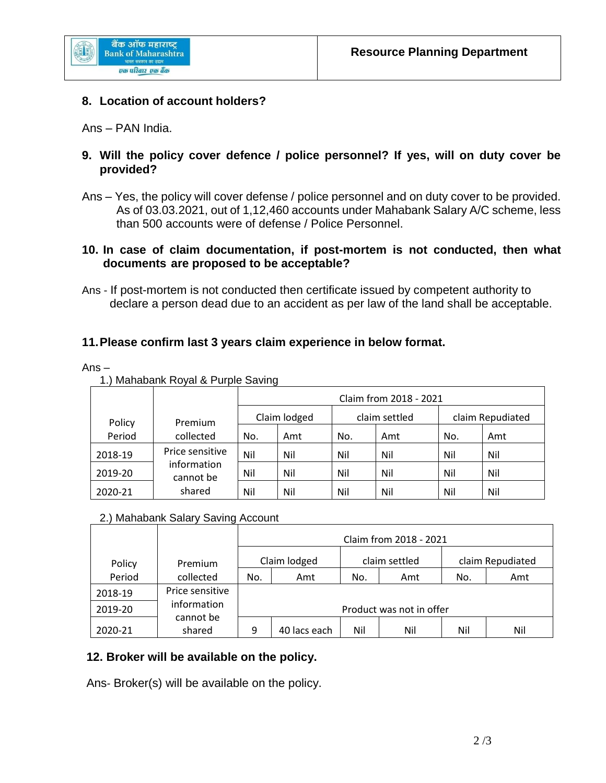

#### **8. Location of account holders?**

Ans – PAN India.

- **9. Will the policy cover defence / police personnel? If yes, will on duty cover be provided?**
- Ans Yes, the policy will cover defense / police personnel and on duty cover to be provided. As of 03.03.2021, out of 1,12,460 accounts under Mahabank Salary A/C scheme, less than 500 accounts were of defense / Police Personnel.

#### **10. In case of claim documentation, if post-mortem is not conducted, then what documents are proposed to be acceptable?**

Ans - If post-mortem is not conducted then certificate issued by competent authority to declare a person dead due to an accident as per law of the land shall be acceptable.

#### **11.Please confirm last 3 years claim experience in below format.**

Ans –

| 1.) Mahabank Royal & Purple Saving |
|------------------------------------|
|------------------------------------|

|         |                                    | Claim from 2018 - 2021 |     |               |     |                  |     |  |  |
|---------|------------------------------------|------------------------|-----|---------------|-----|------------------|-----|--|--|
| Policy  | Premium                            | Claim lodged           |     | claim settled |     | claim Repudiated |     |  |  |
| Period  | collected                          | No.                    | Amt | No.           | Amt | No.              | Amt |  |  |
| 2018-19 | Price sensitive                    | Nil                    | Nil | Nil           | Nil | Nil              | Nil |  |  |
| 2019-20 | information<br>cannot be<br>shared | Nil                    | Nil | Nil           | Nil | Nil              | Nil |  |  |
| 2020-21 |                                    | Nil                    | Nil | Nil           | Nil | Nil              | Nil |  |  |

#### 2.) Mahabank Salary Saving Account

|         |                     | Claim from 2018 - 2021   |              |               |     |                  |     |  |  |
|---------|---------------------|--------------------------|--------------|---------------|-----|------------------|-----|--|--|
| Policy  | Premium             |                          | Claim lodged | claim settled |     | claim Repudiated |     |  |  |
| Period  | collected           | No.                      | Amt          | No.           | Amt | No.              | Amt |  |  |
| 2018-19 | Price sensitive     |                          |              |               |     |                  |     |  |  |
| 2019-20 | information         | Product was not in offer |              |               |     |                  |     |  |  |
| 2020-21 | cannot be<br>shared | 9                        | 40 lacs each | Nil           | Nil | Nil              | Nil |  |  |

#### **12. Broker will be available on the policy.**

Ans- Broker(s) will be available on the policy.